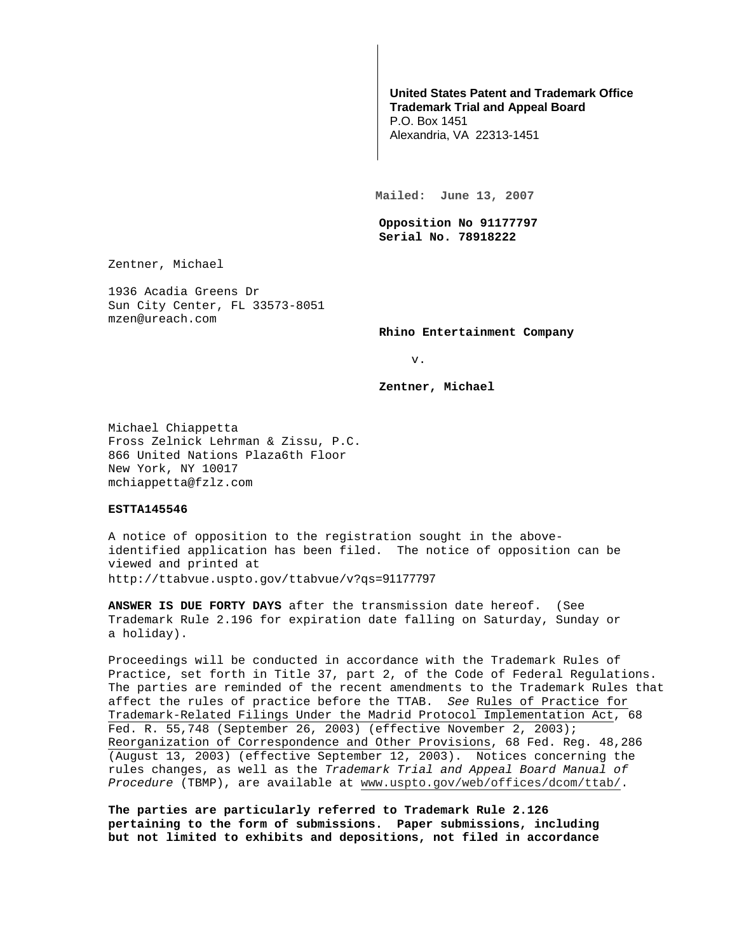## **United States Patent and Trademark Office Trademark Trial and Appeal Board**

P.O. Box 1451 Alexandria, VA 22313-1451

**Mailed: June 13, 2007** 

**Opposition No 91177797 Serial No. 78918222** 

Zentner, Michael

1936 Acadia Greens Dr Sun City Center, FL 33573-8051 mzen@ureach.com

**Rhino Entertainment Company** 

v.

**Zentner, Michael** 

Michael Chiappetta Fross Zelnick Lehrman & Zissu, P.C. 866 United Nations Plaza6th Floor New York, NY 10017 mchiappetta@fzlz.com

## **ESTTA145546**

A notice of opposition to the registration sought in the aboveidentified application has been filed. The notice of opposition can be viewed and printed at http://ttabvue.uspto.gov/ttabvue/v?qs=91177797

**ANSWER IS DUE FORTY DAYS** after the transmission date hereof. (See Trademark Rule 2.196 for expiration date falling on Saturday, Sunday or a holiday).

Proceedings will be conducted in accordance with the Trademark Rules of Practice, set forth in Title 37, part 2, of the Code of Federal Regulations. The parties are reminded of the recent amendments to the Trademark Rules that affect the rules of practice before the TTAB. See Rules of Practice for Trademark-Related Filings Under the Madrid Protocol Implementation Act, 68 Fed. R. 55,748 (September 26, 2003) (effective November 2, 2003); Reorganization of Correspondence and Other Provisions, 68 Fed. Reg. 48,286 (August 13, 2003) (effective September 12, 2003). Notices concerning the rules changes, as well as the Trademark Trial and Appeal Board Manual of Procedure (TBMP), are available at www.uspto.gov/web/offices/dcom/ttab/.

**The parties are particularly referred to Trademark Rule 2.126 pertaining to the form of submissions. Paper submissions, including but not limited to exhibits and depositions, not filed in accordance**